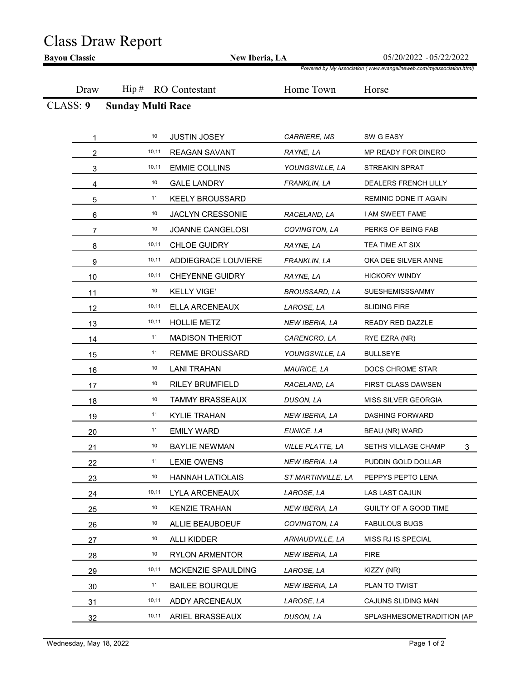## Class Draw Report

|          | New Iberia, LA           |                        |                         | 05/20/2022 - 05/22/2022<br>Powered by My Association (www.evangelineweb.com/myassociation.html) |
|----------|--------------------------|------------------------|-------------------------|-------------------------------------------------------------------------------------------------|
| Draw     | $\operatorname{Hip}$ #   | <b>RO</b> Contestant   | Home Town               | Horse                                                                                           |
| CLASS: 9 | <b>Sunday Multi Race</b> |                        |                         |                                                                                                 |
|          |                          |                        |                         |                                                                                                 |
|          | 10                       | <b>JUSTIN JOSEY</b>    | CARRIERE, MS            | SW G EASY                                                                                       |
| 2        | 10,11                    | <b>REAGAN SAVANT</b>   | RAYNE, LA               | MP READY FOR DINERO                                                                             |
| 3        | 10,11                    | <b>EMMIE COLLINS</b>   | YOUNGSVILLE, LA         | STREAKIN SPRAT                                                                                  |
| 4        | 10                       | <b>GALE LANDRY</b>     | FRANKLIN, LA            | DEALERS FRENCH LILLY                                                                            |
| 5        | 11                       | <b>KEELY BROUSSARD</b> |                         | REMINIC DONE IT AGAIN                                                                           |
| 6        | 10                       | JACLYN CRESSONIE       | RACELAND, LA            | I AM SWEET FAME                                                                                 |
| 7        | 10                       | JOANNE CANGELOSI       | COVINGTON, LA           | PERKS OF BEING FAB                                                                              |
| 8        | 10,11                    | <b>CHLOE GUIDRY</b>    | RAYNE, LA               | TEA TIME AT SIX                                                                                 |
| 9        | 10,11                    | ADDIEGRACE LOUVIERE    | FRANKLIN, LA            | OKA DEE SILVER ANNE                                                                             |
| 10       | 10,11                    | CHEYENNE GUIDRY        | RAYNE, LA               | <b>HICKORY WINDY</b>                                                                            |
| 11       | 10                       | <b>KELLY VIGE'</b>     | <b>BROUSSARD, LA</b>    | SUESHEMISSSAMMY                                                                                 |
| 12       | 10,11                    | ELLA ARCENEAUX         | LAROSE, LA              | <b>SLIDING FIRE</b>                                                                             |
| 13       | 10,11                    | <b>HOLLIE METZ</b>     | NEW IBERIA, LA          | READY RED DAZZLE                                                                                |
| 14       | 11                       | <b>MADISON THERIOT</b> | CARENCRO, LA            | RYE EZRA (NR)                                                                                   |
| 15       | 11                       | <b>REMME BROUSSARD</b> | YOUNGSVILLE, LA         | <b>BULLSEYE</b>                                                                                 |
| 16       | 10                       | <b>LANI TRAHAN</b>     | <b>MAURICE, LA</b>      | DOCS CHROME STAR                                                                                |
| 17       | 10                       | <b>RILEY BRUMFIELD</b> | RACELAND, LA            | FIRST CLASS DAWSEN                                                                              |
| 18       | 10                       | <b>TAMMY BRASSEAUX</b> | DUSON, LA               | MISS SILVER GEORGIA                                                                             |
| 19       | 11                       | <b>KYLIE TRAHAN</b>    | NEW IBERIA, LA          | DASHING FORWARD                                                                                 |
| 20       | 11                       | <b>EMILY WARD</b>      | EUNICE, LA              | BEAU (NR) WARD                                                                                  |
| 21       | 10                       | <b>BAYLIE NEWMAN</b>   | <i>VILLE PLATTE, LA</i> | SETHS VILLAGE CHAMP<br>3 <sup>1</sup>                                                           |
| 22       | 11                       | <b>LEXIE OWENS</b>     | NEW IBERIA, LA          | PUDDIN GOLD DOLLAR                                                                              |
| 23       | 10                       | HANNAH LATIOLAIS       | ST MARTINVILLE, LA      | PEPPYS PEPTO LENA                                                                               |
| 24       | 10,11                    | LYLA ARCENEAUX         | LAROSE, LA              | LAS LAST CAJUN                                                                                  |
| 25       | 10                       | <b>KENZIE TRAHAN</b>   | NEW IBERIA, LA          | GUILTY OF A GOOD TIME                                                                           |
| 26       | 10                       | ALLIE BEAUBOEUF        | COVINGTON, LA           | <b>FABULOUS BUGS</b>                                                                            |
| 27       | 10                       | ALLI KIDDER            | ARNAUDVILLE, LA         | MISS RJ IS SPECIAL                                                                              |
| 28       | 10                       | <b>RYLON ARMENTOR</b>  | NEW IBERIA, LA          | <b>FIRE</b>                                                                                     |
| 29       | 10,11                    | MCKENZIE SPAULDING     | LAROSE, LA              | KIZZY (NR)                                                                                      |
| 30       | 11                       | <b>BAILEE BOURQUE</b>  | NEW IBERIA, LA          | PLAN TO TWIST                                                                                   |
| 31       | 10,11                    | ADDY ARCENEAUX         | LAROSE, LA              | CAJUNS SLIDING MAN                                                                              |
| 32       | 10,11                    | ARIEL BRASSEAUX        | DUSON, LA               | SPLASHMESOMETRADITION (AP                                                                       |